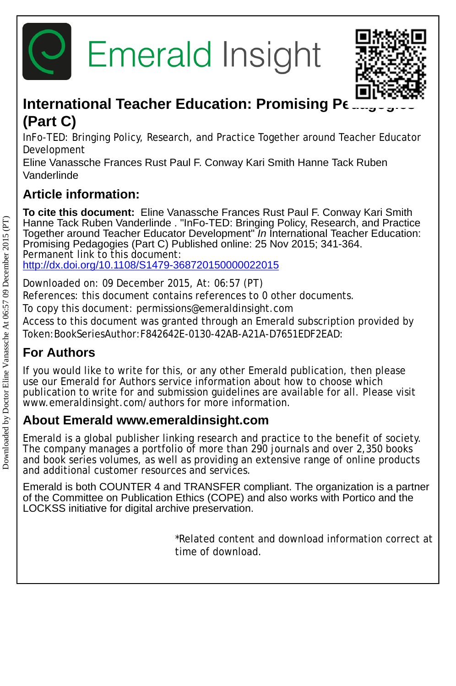



# **International Teacher Education: Promising Pe (Part C)**

InFo-TED: Bringing Policy, Research, and Practice Together around Teacher Educator Development

Eline Vanassche Frances Rust Paul F. Conway Kari Smith Hanne Tack Ruben Vanderlinde

# **Article information:**

**To cite this document:** Eline Vanassche Frances Rust Paul F. Conway Kari Smith Hanne Tack Ruben Vanderlinde . "InFo-TED: Bringing Policy, Research, and Practice Together around Teacher Educator Development" *In* International Teacher Education: Promising Pedagogies (Part C) Published online: 25 Nov 2015; 341-364. Permanent link to this document: <http://dx.doi.org/10.1108/S1479-368720150000022015>

Downloaded on: 09 December 2015, At: 06:57 (PT)

References: this document contains references to 0 other documents.

To copy this document: permissions@emeraldinsight.com

Access to this document was granted through an Emerald subscription provided by Token:BookSeriesAuthor:F842642E-0130-42AB-A21A-D7651EDF2EAD:

# **For Authors**

If you would like to write for this, or any other Emerald publication, then please use our Emerald for Authors service information about how to choose which publication to write for and submission guidelines are available for all. Please visit www.emeraldinsight.com/authors for more information.

## **About Emerald www.emeraldinsight.com**

Emerald is a global publisher linking research and practice to the benefit of society. The company manages a portfolio of more than 290 journals and over 2,350 books and book series volumes, as well as providing an extensive range of online products and additional customer resources and services.

Emerald is both COUNTER 4 and TRANSFER compliant. The organization is a partner of the Committee on Publication Ethics (COPE) and also works with Portico and the LOCKSS initiative for digital archive preservation.

> \*Related content and download information correct at time of download.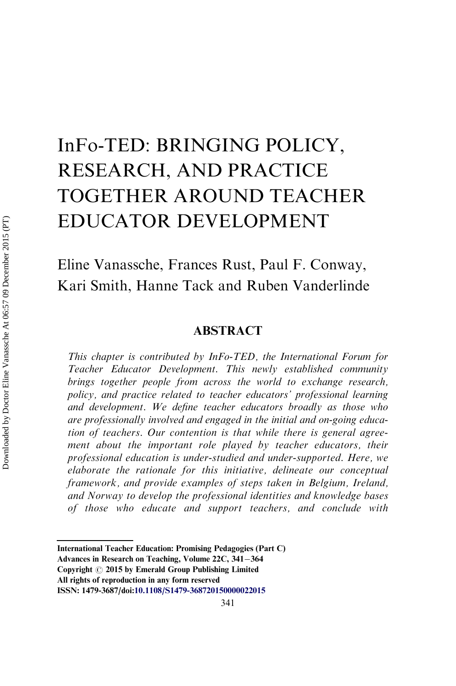# InFo-TED: BRINGING POLICY, RESEARCH, AND PRACTICE TOGETHER AROUND TEACHER EDUCATOR DEVELOPMENT

Eline Vanassche, Frances Rust, Paul F. Conway, Kari Smith, Hanne Tack and Ruben Vanderlinde

#### ABSTRACT

This chapter is contributed by InFo-TED, the International Forum for Teacher Educator Development. This newly established community brings together people from across the world to exchange research, policy, and practice related to teacher educators' professional learning and development. We define teacher educators broadly as those who are professionally involved and engaged in the initial and on-going education of teachers. Our contention is that while there is general agreement about the important role played by teacher educators, their professional education is under-studied and under-supported. Here, we elaborate the rationale for this initiative, delineate our conceptual framework, and provide examples of steps taken in Belgium, Ireland, and Norway to develop the professional identities and knowledge bases of those who educate and support teachers, and conclude with

International Teacher Education: Promising Pedagogies (Part C)

Advances in Research on Teaching, Volume  $22C$ ,  $341-364$ 

Copyright  $\odot$  2015 by Emerald Group Publishing Limited All rights of reproduction in any form reserved

ISSN: 1479-3687/doi:[10.1108/S1479-368720150000022015](http://dx.doi.org/10.1108/S1479-368720150000022015)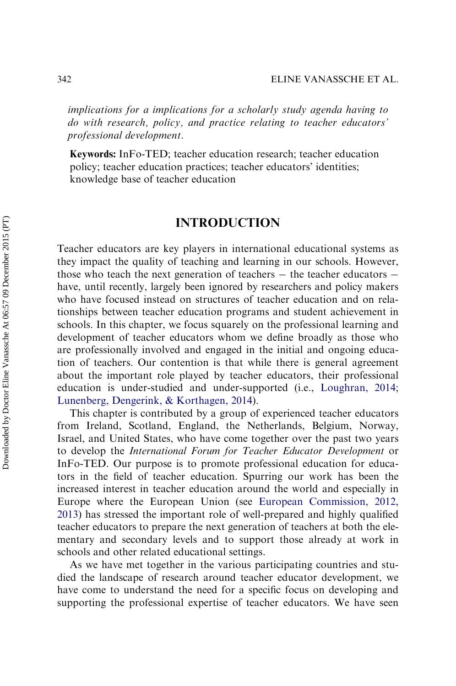implications for a implications for a scholarly study agenda having to do with research, policy, and practice relating to teacher educators' professional development.

Keywords: InFo-TED; teacher education research; teacher education policy; teacher education practices; teacher educators' identities; knowledge base of teacher education

### INTRODUCTION

Teacher educators are key players in international educational systems as they impact the quality of teaching and learning in our schools. However, those who teach the next generation of teachers  $-$  the teacher educators  $$ have, until recently, largely been ignored by researchers and policy makers who have focused instead on structures of teacher education and on relationships between teacher education programs and student achievement in schools. In this chapter, we focus squarely on the professional learning and development of teacher educators whom we define broadly as those who are professionally involved and engaged in the initial and ongoing education of teachers. Our contention is that while there is general agreement about the important role played by teacher educators, their professional education is under-studied and under-supported (i.e., [Loughran, 2014](#page-22-0); [Lunenberg, Dengerink, & Korthagen, 2014\)](#page-22-0).

This chapter is contributed by a group of experienced teacher educators from Ireland, Scotland, England, the Netherlands, Belgium, Norway, Israel, and United States, who have come together over the past two years to develop the International Forum for Teacher Educator Development or InFo-TED. Our purpose is to promote professional education for educators in the field of teacher education. Spurring our work has been the increased interest in teacher education around the world and especially in Europe where the European Union (see European Commission, 2012, 2013) has stressed the important role of well-prepared and highly qualified teacher educators to prepare the next generation of teachers at both the elementary and secondary levels and to support those already at work in schools and other related educational settings.

As we have met together in the various participating countries and studied the landscape of research around teacher educator development, we have come to understand the need for a specific focus on developing and supporting the professional expertise of teacher educators. We have seen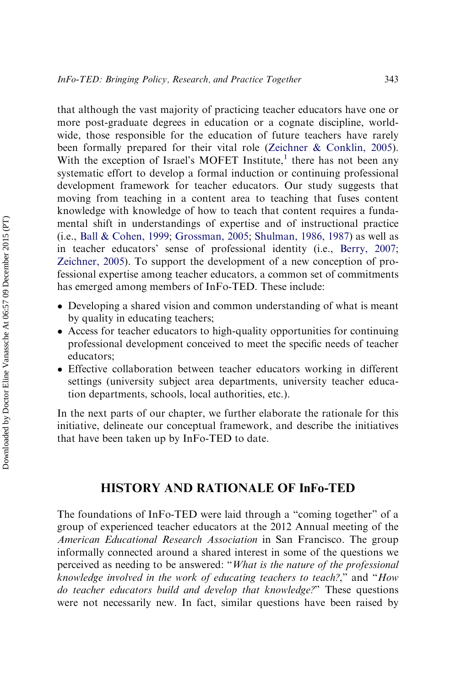that although the vast majority of practicing teacher educators have one or more post-graduate degrees in education or a cognate discipline, worldwide, those responsible for the education of future teachers have rarely been formally prepared for their vital role ([Zeichner & Conklin, 2005\)](#page-24-0). With the exception of Israel's MOFET Institute, $<sup>1</sup>$  $<sup>1</sup>$  $<sup>1</sup>$  there has not been any</sup> systematic effort to develop a formal induction or continuing professional development framework for teacher educators. Our study suggests that moving from teaching in a content area to teaching that fuses content knowledge with knowledge of how to teach that content requires a fundamental shift in understandings of expertise and of instructional practice (i.e., [Ball & Cohen, 1999;](#page-21-0) [Grossman, 2005](#page-22-0); Shulman, 1986, 1987) as well as in teacher educators' sense of professional identity (i.e., [Berry, 2007](#page-21-0); [Zeichner, 2005\)](#page-24-0). To support the development of a new conception of professional expertise among teacher educators, a common set of commitments has emerged among members of InFo-TED. These include:

- Developing a shared vision and common understanding of what is meant by quality in educating teachers;
- Access for teacher educators to high-quality opportunities for continuing professional development conceived to meet the specific needs of teacher educators;
- Effective collaboration between teacher educators working in different settings (university subject area departments, university teacher education departments, schools, local authorities, etc.).

In the next parts of our chapter, we further elaborate the rationale for this initiative, delineate our conceptual framework, and describe the initiatives that have been taken up by InFo-TED to date.

## HISTORY AND RATIONALE OF InFo-TED

The foundations of InFo-TED were laid through a "coming together" of a group of experienced teacher educators at the 2012 Annual meeting of the American Educational Research Association in San Francisco. The group informally connected around a shared interest in some of the questions we perceived as needing to be answered: "What is the nature of the professional knowledge involved in the work of educating teachers to teach?," and "How do teacher educators build and develop that knowledge?" These questions were not necessarily new. In fact, similar questions have been raised by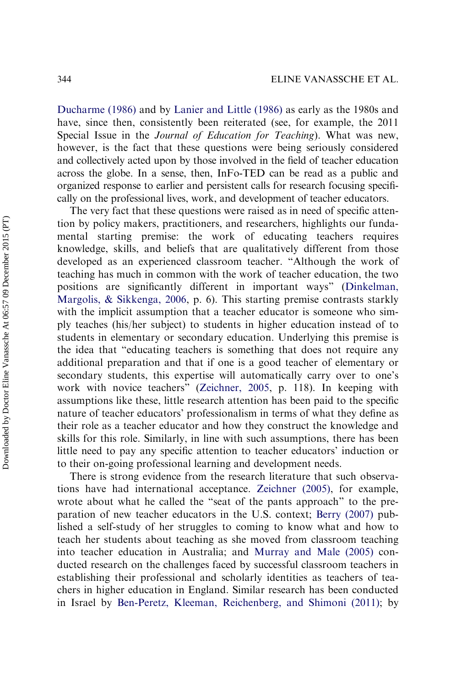[Ducharme \(1986\)](#page-22-0) and by [Lanier and Little \(1986\)](#page-22-0) as early as the 1980s and have, since then, consistently been reiterated (see, for example, the 2011 Special Issue in the Journal of Education for Teaching). What was new, however, is the fact that these questions were being seriously considered and collectively acted upon by those involved in the field of teacher education across the globe. In a sense, then, InFo-TED can be read as a public and organized response to earlier and persistent calls for research focusing specifically on the professional lives, work, and development of teacher educators.

The very fact that these questions were raised as in need of specific attention by policy makers, practitioners, and researchers, highlights our fundamental starting premise: the work of educating teachers requires knowledge, skills, and beliefs that are qualitatively different from those developed as an experienced classroom teacher. "Although the work of teaching has much in common with the work of teacher education, the two positions are significantly different in important ways" [\(Dinkelman,](#page-21-0) [Margolis, & Sikkenga, 2006](#page-21-0), p. 6). This starting premise contrasts starkly with the implicit assumption that a teacher educator is someone who simply teaches (his/her subject) to students in higher education instead of to students in elementary or secondary education. Underlying this premise is the idea that "educating teachers is something that does not require any additional preparation and that if one is a good teacher of elementary or secondary students, this expertise will automatically carry over to one's work with novice teachers" ([Zeichner, 2005,](#page-24-0) p. 118). In keeping with assumptions like these, little research attention has been paid to the specific nature of teacher educators' professionalism in terms of what they define as their role as a teacher educator and how they construct the knowledge and skills for this role. Similarly, in line with such assumptions, there has been little need to pay any specific attention to teacher educators' induction or to their on-going professional learning and development needs.

There is strong evidence from the research literature that such observations have had international acceptance. [Zeichner \(2005\)](#page-24-0), for example, wrote about what he called the "seat of the pants approach" to the preparation of new teacher educators in the U.S. context; [Berry \(2007\)](#page-21-0) published a self-study of her struggles to coming to know what and how to teach her students about teaching as she moved from classroom teaching into teacher education in Australia; and [Murray and Male \(2005\)](#page-23-0) conducted research on the challenges faced by successful classroom teachers in establishing their professional and scholarly identities as teachers of teachers in higher education in England. Similar research has been conducted in Israel by [Ben-Peretz, Kleeman, Reichenberg, and Shimoni \(2011\);](#page-21-0) by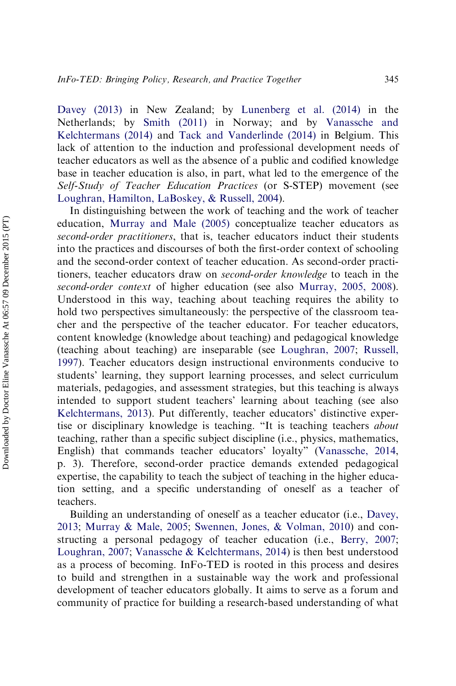[Davey \(2013\)](#page-21-0) in New Zealand; by [Lunenberg et al. \(2014\)](#page-22-0) in the Netherlands; by [Smith \(2011\)](#page-23-0) in Norway; and by [Vanassche and](#page-24-0) [Kelchtermans \(2014\)](#page-24-0) and [Tack and Vanderlinde \(2014\)](#page-23-0) in Belgium. This lack of attention to the induction and professional development needs of teacher educators as well as the absence of a public and codified knowledge base in teacher education is also, in part, what led to the emergence of the Self-Study of Teacher Education Practices (or S-STEP) movement (see [Loughran, Hamilton, LaBoskey, & Russell, 2004](#page-22-0)).

In distinguishing between the work of teaching and the work of teacher education, [Murray and Male \(2005\)](#page-23-0) conceptualize teacher educators as second-order practitioners, that is, teacher educators induct their students into the practices and discourses of both the first-order context of schooling and the second-order context of teacher education. As second-order practitioners, teacher educators draw on second-order knowledge to teach in the second-order context of higher education (see also Murray, 2005, 2008). Understood in this way, teaching about teaching requires the ability to hold two perspectives simultaneously: the perspective of the classroom teacher and the perspective of the teacher educator. For teacher educators, content knowledge (knowledge about teaching) and pedagogical knowledge (teaching about teaching) are inseparable (see [Loughran, 2007;](#page-22-0) [Russell,](#page-23-0) [1997\)](#page-23-0). Teacher educators design instructional environments conducive to students' learning, they support learning processes, and select curriculum materials, pedagogies, and assessment strategies, but this teaching is always intended to support student teachers' learning about teaching (see also [Kelchtermans, 2013](#page-22-0)). Put differently, teacher educators' distinctive expertise or disciplinary knowledge is teaching. "It is teaching teachers about teaching, rather than a specific subject discipline (i.e., physics, mathematics, English) that commands teacher educators' loyalty" ([Vanassche, 2014](#page-23-0), p. 3). Therefore, second-order practice demands extended pedagogical expertise, the capability to teach the subject of teaching in the higher education setting, and a specific understanding of oneself as a teacher of teachers.

Building an understanding of oneself as a teacher educator (i.e., [Davey,](#page-21-0) [2013;](#page-21-0) [Murray & Male, 2005;](#page-23-0) [Swennen, Jones, & Volman, 2010](#page-23-0)) and constructing a personal pedagogy of teacher education (i.e., [Berry, 2007](#page-21-0); [Loughran, 2007](#page-22-0); [Vanassche & Kelchtermans, 2014\)](#page-24-0) is then best understood as a process of becoming. InFo-TED is rooted in this process and desires to build and strengthen in a sustainable way the work and professional development of teacher educators globally. It aims to serve as a forum and community of practice for building a research-based understanding of what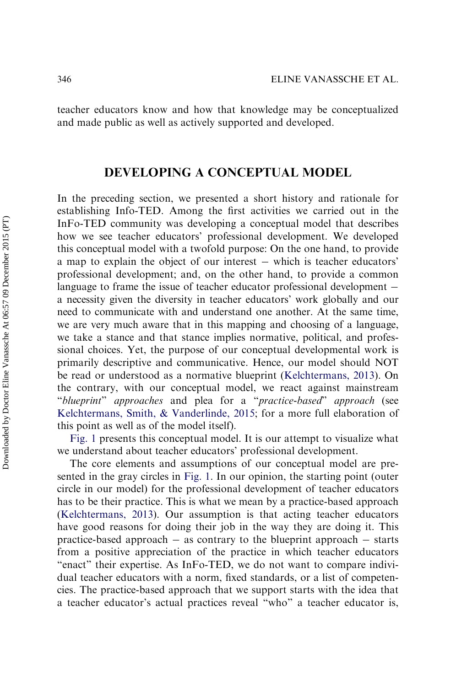teacher educators know and how that knowledge may be conceptualized and made public as well as actively supported and developed.

#### DEVELOPING A CONCEPTUAL MODEL

In the preceding section, we presented a short history and rationale for establishing Info-TED. Among the first activities we carried out in the InFo-TED community was developing a conceptual model that describes how we see teacher educators' professional development. We developed this conceptual model with a twofold purpose: On the one hand, to provide a map to explain the object of our interest which is teacher educators' professional development; and, on the other hand, to provide a common language to frame the issue of teacher educator professional development a necessity given the diversity in teacher educators' work globally and our need to communicate with and understand one another. At the same time, we are very much aware that in this mapping and choosing of a language, we take a stance and that stance implies normative, political, and professional choices. Yet, the purpose of our conceptual developmental work is primarily descriptive and communicative. Hence, our model should NOT be read or understood as a normative blueprint ([Kelchtermans, 2013](#page-22-0)). On the contrary, with our conceptual model, we react against mainstream "blueprint" approaches and plea for a "practice-based" approach (see [Kelchtermans, Smith, & Vanderlinde, 2015;](#page-22-0) for a more full elaboration of this point as well as of the model itself).

[Fig. 1](#page-7-0) presents this conceptual model. It is our attempt to visualize what we understand about teacher educators' professional development.

The core elements and assumptions of our conceptual model are presented in the gray circles in [Fig. 1.](#page-7-0) In our opinion, the starting point (outer circle in our model) for the professional development of teacher educators has to be their practice. This is what we mean by a practice-based approach [\(Kelchtermans, 2013\)](#page-22-0). Our assumption is that acting teacher educators have good reasons for doing their job in the way they are doing it. This practice-based approach  $-$  as contrary to the blueprint approach  $-$  starts from a positive appreciation of the practice in which teacher educators "enact" their expertise. As InFo-TED, we do not want to compare individual teacher educators with a norm, fixed standards, or a list of competencies. The practice-based approach that we support starts with the idea that a teacher educator's actual practices reveal "who" a teacher educator is,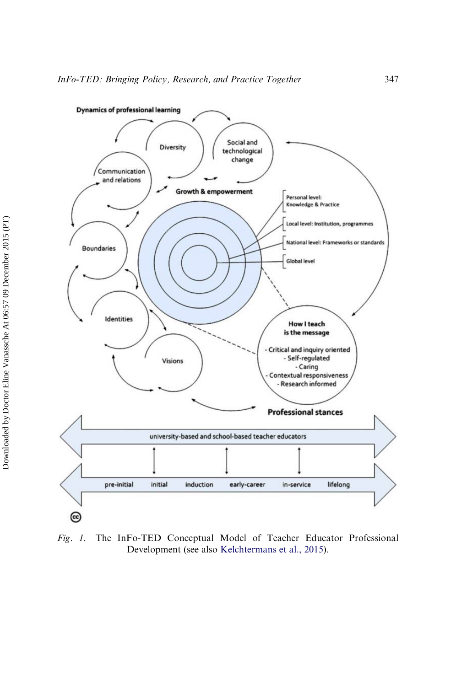<span id="page-7-0"></span>

Fig. 1. The InFo-TED Conceptual Model of Teacher Educator Professional Development (see also [Kelchtermans et al., 2015\)](#page-22-0).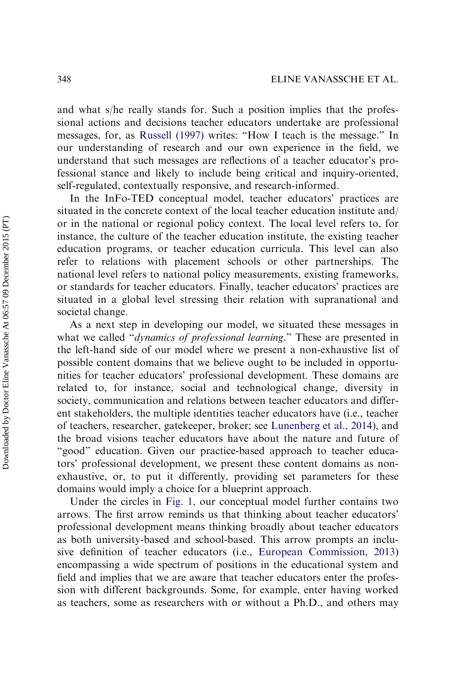and what s/he really stands for. Such a position implies that the professional actions and decisions teacher educators undertake are professional messages, for, as [Russell \(1997\)](#page-23-0) writes: "How I teach is the message." In our understanding of research and our own experience in the field, we understand that such messages are reflections of a teacher educator's professional stance and likely to include being critical and inquiry-oriented, self-regulated, contextually responsive, and research-informed.

In the InFo-TED conceptual model, teacher educators' practices are situated in the concrete context of the local teacher education institute and/ or in the national or regional policy context. The local level refers to, for instance, the culture of the teacher education institute, the existing teacher education programs, or teacher education curricula. This level can also refer to relations with placement schools or other partnerships. The national level refers to national policy measurements, existing frameworks, or standards for teacher educators. Finally, teacher educators' practices are situated in a global level stressing their relation with supranational and societal change.

As a next step in developing our model, we situated these messages in what we called "dynamics of professional learning." These are presented in the left-hand side of our model where we present a non-exhaustive list of possible content domains that we believe ought to be included in opportunities for teacher educators' professional development. These domains are related to, for instance, social and technological change, diversity in society, communication and relations between teacher educators and different stakeholders, the multiple identities teacher educators have (i.e., teacher of teachers, researcher, gatekeeper, broker; see [Lunenberg et al., 2014\)](#page-22-0), and the broad visions teacher educators have about the nature and future of "good" education. Given our practice-based approach to teacher educators' professional development, we present these content domains as nonexhaustive, or, to put it differently, providing set parameters for these domains would imply a choice for a blueprint approach.

Under the circles in [Fig. 1](#page-7-0), our conceptual model further contains two arrows. The first arrow reminds us that thinking about teacher educators' professional development means thinking broadly about teacher educators as both university-based and school-based. This arrow prompts an inclusive definition of teacher educators (i.e., [European Commission, 2013](#page-22-0)) encompassing a wide spectrum of positions in the educational system and field and implies that we are aware that teacher educators enter the profession with different backgrounds. Some, for example, enter having worked as teachers, some as researchers with or without a Ph.D., and others may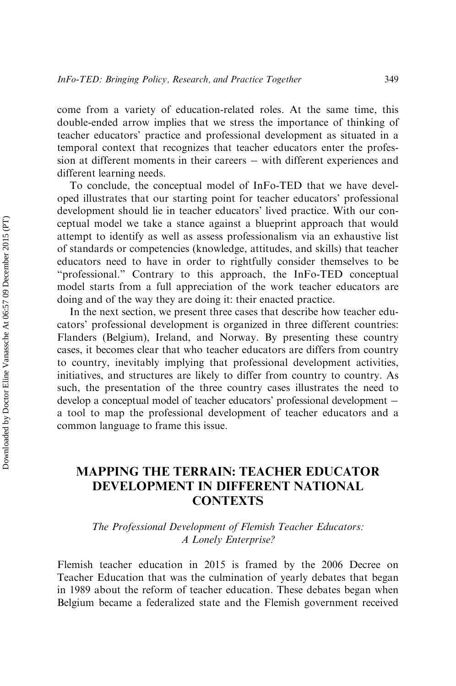come from a variety of education-related roles. At the same time, this double-ended arrow implies that we stress the importance of thinking of teacher educators' practice and professional development as situated in a temporal context that recognizes that teacher educators enter the profession at different moments in their careers – with different experiences and different learning needs.

To conclude, the conceptual model of InFo-TED that we have developed illustrates that our starting point for teacher educators' professional development should lie in teacher educators' lived practice. With our conceptual model we take a stance against a blueprint approach that would attempt to identify as well as assess professionalism via an exhaustive list of standards or competencies (knowledge, attitudes, and skills) that teacher educators need to have in order to rightfully consider themselves to be "professional." Contrary to this approach, the InFo-TED conceptual model starts from a full appreciation of the work teacher educators are doing and of the way they are doing it: their enacted practice.

In the next section, we present three cases that describe how teacher educators' professional development is organized in three different countries: Flanders (Belgium), Ireland, and Norway. By presenting these country cases, it becomes clear that who teacher educators are differs from country to country, inevitably implying that professional development activities, initiatives, and structures are likely to differ from country to country. As such, the presentation of the three country cases illustrates the need to develop a conceptual model of teacher educators' professional development a tool to map the professional development of teacher educators and a common language to frame this issue.

## MAPPING THE TERRAIN: TEACHER EDUCATOR DEVELOPMENT IN DIFFERENT NATIONAL CONTEXTS

The Professional Development of Flemish Teacher Educators: A Lonely Enterprise?

Flemish teacher education in 2015 is framed by the 2006 Decree on Teacher Education that was the culmination of yearly debates that began in 1989 about the reform of teacher education. These debates began when Belgium became a federalized state and the Flemish government received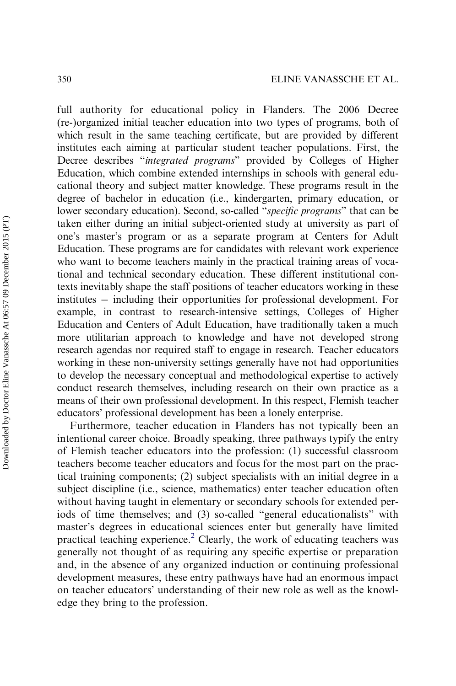full authority for educational policy in Flanders. The 2006 Decree (re-)organized initial teacher education into two types of programs, both of which result in the same teaching certificate, but are provided by different institutes each aiming at particular student teacher populations. First, the Decree describes "integrated programs" provided by Colleges of Higher Education, which combine extended internships in schools with general educational theory and subject matter knowledge. These programs result in the degree of bachelor in education (i.e., kindergarten, primary education, or lower secondary education). Second, so-called "specific programs" that can be taken either during an initial subject-oriented study at university as part of one's master's program or as a separate program at Centers for Adult Education. These programs are for candidates with relevant work experience who want to become teachers mainly in the practical training areas of vocational and technical secondary education. These different institutional contexts inevitably shape the staff positions of teacher educators working in these institutes – including their opportunities for professional development. For example, in contrast to research-intensive settings, Colleges of Higher Education and Centers of Adult Education, have traditionally taken a much more utilitarian approach to knowledge and have not developed strong research agendas nor required staff to engage in research. Teacher educators working in these non-university settings generally have not had opportunities to develop the necessary conceptual and methodological expertise to actively conduct research themselves, including research on their own practice as a means of their own professional development. In this respect, Flemish teacher educators' professional development has been a lonely enterprise.

Furthermore, teacher education in Flanders has not typically been an intentional career choice. Broadly speaking, three pathways typify the entry of Flemish teacher educators into the profession: (1) successful classroom teachers become teacher educators and focus for the most part on the practical training components; (2) subject specialists with an initial degree in a subject discipline (i.e., science, mathematics) enter teacher education often without having taught in elementary or secondary schools for extended periods of time themselves; and (3) so-called "general educationalists" with master's degrees in educational sciences enter but generally have limited practical teaching experience[.2](#page-21-0) Clearly, the work of educating teachers was generally not thought of as requiring any specific expertise or preparation and, in the absence of any organized induction or continuing professional development measures, these entry pathways have had an enormous impact on teacher educators' understanding of their new role as well as the knowledge they bring to the profession.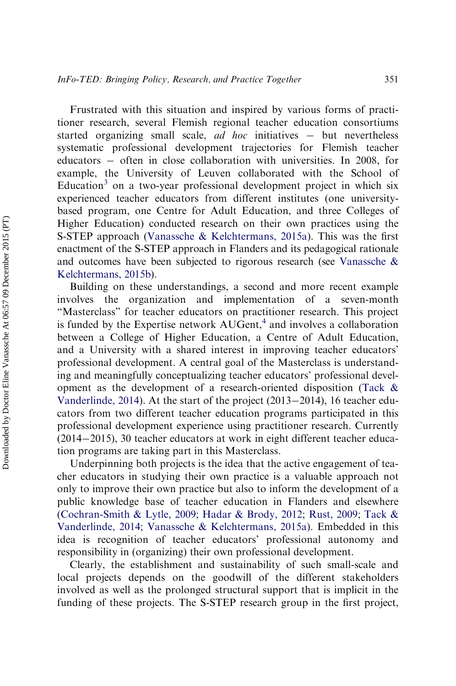Frustrated with this situation and inspired by various forms of practitioner research, several Flemish regional teacher education consortiums started organizing small scale, *ad hoc* initiatives  $-$  but nevertheless systematic professional development trajectories for Flemish teacher educators – often in close collaboration with universities. In 2008, for example, the University of Leuven collaborated with the School of Education<sup>[3](#page-21-0)</sup> on a two-year professional development project in which six experienced teacher educators from different institutes (one universitybased program, one Centre for Adult Education, and three Colleges of Higher Education) conducted research on their own practices using the S-STEP approach [\(Vanassche & Kelchtermans, 2015a](#page-24-0)). This was the first enactment of the S-STEP approach in Flanders and its pedagogical rationale and outcomes have been subjected to rigorous research (see [Vanassche &](#page-24-0) [Kelchtermans, 2015b](#page-24-0)).

Building on these understandings, a second and more recent example involves the organization and implementation of a seven-month "Masterclass" for teacher educators on practitioner research. This project is funded by the Expertise network  $AUGent<sub>1</sub><sup>4</sup>$  $AUGent<sub>1</sub><sup>4</sup>$  $AUGent<sub>1</sub><sup>4</sup>$  and involves a collaboration between a College of Higher Education, a Centre of Adult Education, and a University with a shared interest in improving teacher educators' professional development. A central goal of the Masterclass is understanding and meaningfully conceptualizing teacher educators' professional development as the development of a research-oriented disposition [\(Tack &](#page-23-0) [Vanderlinde, 2014\)](#page-23-0). At the start of the project  $(2013-2014)$ , 16 teacher educators from two different teacher education programs participated in this professional development experience using practitioner research. Currently  $(2014-2015)$ , 30 teacher educators at work in eight different teacher education programs are taking part in this Masterclass.

Underpinning both projects is the idea that the active engagement of teacher educators in studying their own practice is a valuable approach not only to improve their own practice but also to inform the development of a public knowledge base of teacher education in Flanders and elsewhere [\(Cochran-Smith & Lytle, 2009](#page-21-0); [Hadar & Brody, 2012;](#page-22-0) [Rust, 2009](#page-23-0); [Tack &](#page-23-0) [Vanderlinde, 2014;](#page-23-0) [Vanassche & Kelchtermans, 2015a](#page-24-0)). Embedded in this idea is recognition of teacher educators' professional autonomy and responsibility in (organizing) their own professional development.

Clearly, the establishment and sustainability of such small-scale and local projects depends on the goodwill of the different stakeholders involved as well as the prolonged structural support that is implicit in the funding of these projects. The S-STEP research group in the first project,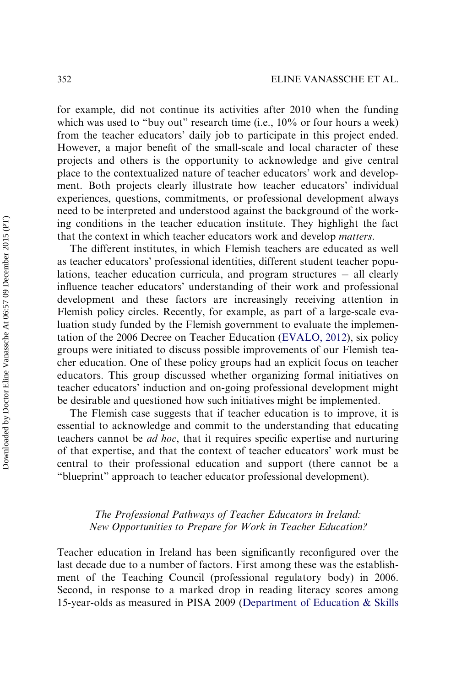for example, did not continue its activities after 2010 when the funding which was used to "buy out" research time (i.e., 10% or four hours a week) from the teacher educators' daily job to participate in this project ended. However, a major benefit of the small-scale and local character of these projects and others is the opportunity to acknowledge and give central place to the contextualized nature of teacher educators' work and development. Both projects clearly illustrate how teacher educators' individual experiences, questions, commitments, or professional development always need to be interpreted and understood against the background of the working conditions in the teacher education institute. They highlight the fact that the context in which teacher educators work and develop matters.

The different institutes, in which Flemish teachers are educated as well as teacher educators' professional identities, different student teacher populations, teacher education curricula, and program structures  $-$  all clearly influence teacher educators' understanding of their work and professional development and these factors are increasingly receiving attention in Flemish policy circles. Recently, for example, as part of a large-scale evaluation study funded by the Flemish government to evaluate the implementation of the 2006 Decree on Teacher Education [\(EVALO, 2012\)](#page-22-0), six policy groups were initiated to discuss possible improvements of our Flemish teacher education. One of these policy groups had an explicit focus on teacher educators. This group discussed whether organizing formal initiatives on teacher educators' induction and on-going professional development might be desirable and questioned how such initiatives might be implemented.

The Flemish case suggests that if teacher education is to improve, it is essential to acknowledge and commit to the understanding that educating teachers cannot be ad hoc, that it requires specific expertise and nurturing of that expertise, and that the context of teacher educators' work must be central to their professional education and support (there cannot be a "blueprint" approach to teacher educator professional development).

#### The Professional Pathways of Teacher Educators in Ireland: New Opportunities to Prepare for Work in Teacher Education?

Teacher education in Ireland has been significantly reconfigured over the last decade due to a number of factors. First among these was the establishment of the Teaching Council (professional regulatory body) in 2006. Second, in response to a marked drop in reading literacy scores among 15-year-olds as measured in PISA 2009 [\(Department of Education & Skills](#page-21-0)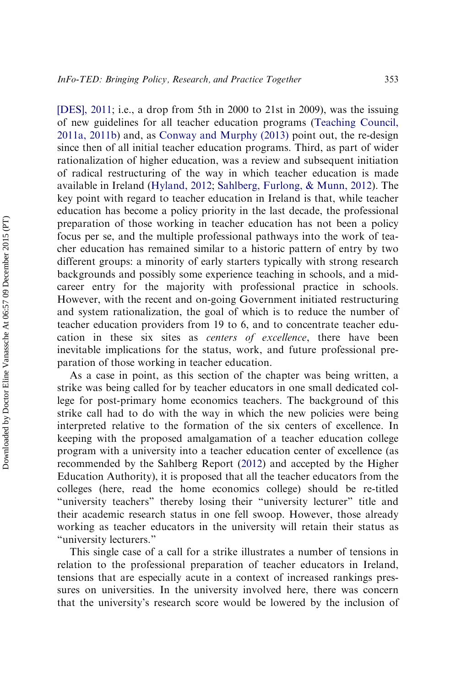[\[DES\], 2011;](#page-21-0) i.e., a drop from 5th in 2000 to 21st in 2009), was the issuing of new guidelines for all teacher education programs (Teaching Council, 2011a, 2011b) and, as [Conway and Murphy \(2013\)](#page-21-0) point out, the re-design since then of all initial teacher education programs. Third, as part of wider rationalization of higher education, was a review and subsequent initiation of radical restructuring of the way in which teacher education is made available in Ireland ([Hyland, 2012](#page-22-0); [Sahlberg, Furlong, & Munn, 2012](#page-23-0)). The key point with regard to teacher education in Ireland is that, while teacher education has become a policy priority in the last decade, the professional preparation of those working in teacher education has not been a policy focus per se, and the multiple professional pathways into the work of teacher education has remained similar to a historic pattern of entry by two different groups: a minority of early starters typically with strong research backgrounds and possibly some experience teaching in schools, and a midcareer entry for the majority with professional practice in schools. However, with the recent and on-going Government initiated restructuring and system rationalization, the goal of which is to reduce the number of teacher education providers from 19 to 6, and to concentrate teacher education in these six sites as centers of excellence, there have been inevitable implications for the status, work, and future professional preparation of those working in teacher education.

As a case in point, as this section of the chapter was being written, a strike was being called for by teacher educators in one small dedicated college for post-primary home economics teachers. The background of this strike call had to do with the way in which the new policies were being interpreted relative to the formation of the six centers of excellence. In keeping with the proposed amalgamation of a teacher education college program with a university into a teacher education center of excellence (as recommended by the Sahlberg Report ([2012\)](#page-23-0) and accepted by the Higher Education Authority), it is proposed that all the teacher educators from the colleges (here, read the home economics college) should be re-titled "university teachers" thereby losing their "university lecturer" title and their academic research status in one fell swoop. However, those already working as teacher educators in the university will retain their status as "university lecturers."

This single case of a call for a strike illustrates a number of tensions in relation to the professional preparation of teacher educators in Ireland, tensions that are especially acute in a context of increased rankings pressures on universities. In the university involved here, there was concern that the university's research score would be lowered by the inclusion of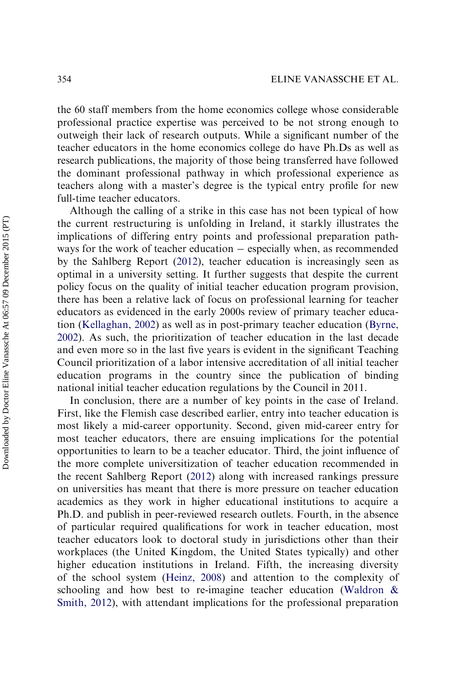the 60 staff members from the home economics college whose considerable professional practice expertise was perceived to be not strong enough to outweigh their lack of research outputs. While a significant number of the teacher educators in the home economics college do have Ph.Ds as well as research publications, the majority of those being transferred have followed the dominant professional pathway in which professional experience as teachers along with a master's degree is the typical entry profile for new full-time teacher educators.

Although the calling of a strike in this case has not been typical of how the current restructuring is unfolding in Ireland, it starkly illustrates the implications of differing entry points and professional preparation pathways for the work of teacher education  $-$  especially when, as recommended by the Sahlberg Report ([2012\)](#page-23-0), teacher education is increasingly seen as optimal in a university setting. It further suggests that despite the current policy focus on the quality of initial teacher education program provision, there has been a relative lack of focus on professional learning for teacher educators as evidenced in the early 2000s review of primary teacher education [\(Kellaghan, 2002](#page-22-0)) as well as in post-primary teacher education ([Byrne,](#page-21-0) [2002\)](#page-21-0). As such, the prioritization of teacher education in the last decade and even more so in the last five years is evident in the significant Teaching Council prioritization of a labor intensive accreditation of all initial teacher education programs in the country since the publication of binding national initial teacher education regulations by the Council in 2011.

In conclusion, there are a number of key points in the case of Ireland. First, like the Flemish case described earlier, entry into teacher education is most likely a mid-career opportunity. Second, given mid-career entry for most teacher educators, there are ensuing implications for the potential opportunities to learn to be a teacher educator. Third, the joint influence of the more complete universitization of teacher education recommended in the recent Sahlberg Report ([2012\)](#page-23-0) along with increased rankings pressure on universities has meant that there is more pressure on teacher education academics as they work in higher educational institutions to acquire a Ph.D. and publish in peer-reviewed research outlets. Fourth, in the absence of particular required qualifications for work in teacher education, most teacher educators look to doctoral study in jurisdictions other than their workplaces (the United Kingdom, the United States typically) and other higher education institutions in Ireland. Fifth, the increasing diversity of the school system ([Heinz, 2008\)](#page-22-0) and attention to the complexity of schooling and how best to re-imagine teacher education ([Waldron &](#page-24-0) [Smith, 2012\)](#page-24-0), with attendant implications for the professional preparation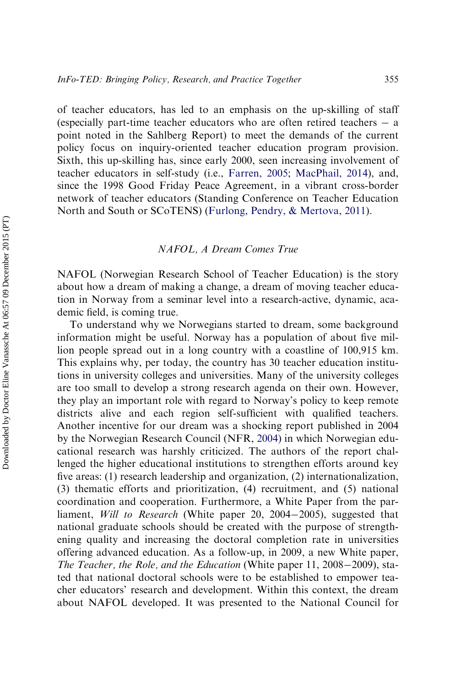of teacher educators, has led to an emphasis on the up-skilling of staff (especially part-time teacher educators who are often retired teachers  $-$  a point noted in the Sahlberg Report) to meet the demands of the current policy focus on inquiry-oriented teacher education program provision. Sixth, this up-skilling has, since early 2000, seen increasing involvement of teacher educators in self-study (i.e., [Farren, 2005](#page-22-0); [MacPhail, 2014\)](#page-23-0), and, since the 1998 Good Friday Peace Agreement, in a vibrant cross-border network of teacher educators (Standing Conference on Teacher Education North and South or SCoTENS) [\(Furlong, Pendry, & Mertova, 2011\)](#page-22-0).

#### NAFOL, A Dream Comes True

NAFOL (Norwegian Research School of Teacher Education) is the story about how a dream of making a change, a dream of moving teacher education in Norway from a seminar level into a research-active, dynamic, academic field, is coming true.

To understand why we Norwegians started to dream, some background information might be useful. Norway has a population of about five million people spread out in a long country with a coastline of 100,915 km. This explains why, per today, the country has 30 teacher education institutions in university colleges and universities. Many of the university colleges are too small to develop a strong research agenda on their own. However, they play an important role with regard to Norway's policy to keep remote districts alive and each region self-sufficient with qualified teachers. Another incentive for our dream was a shocking report published in 2004 by the Norwegian Research Council (NFR, [2004\)](#page-23-0) in which Norwegian educational research was harshly criticized. The authors of the report challenged the higher educational institutions to strengthen efforts around key five areas: (1) research leadership and organization, (2) internationalization, (3) thematic efforts and prioritization, (4) recruitment, and (5) national coordination and cooperation. Furthermore, a White Paper from the parliament, *Will to Research* (White paper 20, 2004–2005), suggested that national graduate schools should be created with the purpose of strengthening quality and increasing the doctoral completion rate in universities offering advanced education. As a follow-up, in 2009, a new White paper, The Teacher, the Role, and the Education (White paper 11, 2008–2009), stated that national doctoral schools were to be established to empower teacher educators' research and development. Within this context, the dream about NAFOL developed. It was presented to the National Council for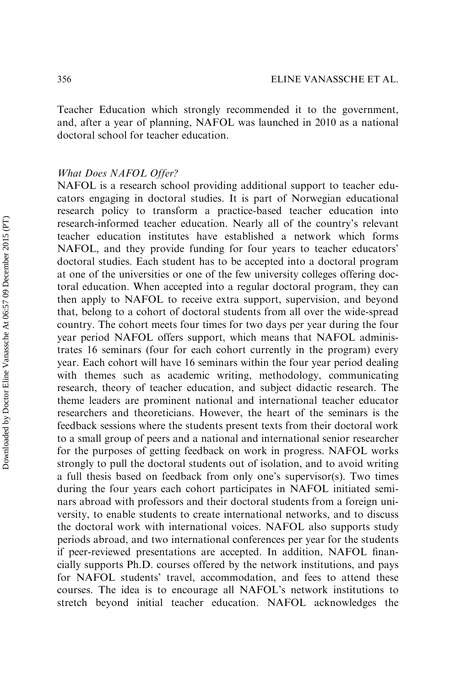Teacher Education which strongly recommended it to the government, and, after a year of planning, NAFOL was launched in 2010 as a national doctoral school for teacher education.

#### What Does NAFOL Offer?

NAFOL is a research school providing additional support to teacher educators engaging in doctoral studies. It is part of Norwegian educational research policy to transform a practice-based teacher education into research-informed teacher education. Nearly all of the country's relevant teacher education institutes have established a network which forms NAFOL, and they provide funding for four years to teacher educators' doctoral studies. Each student has to be accepted into a doctoral program at one of the universities or one of the few university colleges offering doctoral education. When accepted into a regular doctoral program, they can then apply to NAFOL to receive extra support, supervision, and beyond that, belong to a cohort of doctoral students from all over the wide-spread country. The cohort meets four times for two days per year during the four year period NAFOL offers support, which means that NAFOL administrates 16 seminars (four for each cohort currently in the program) every year. Each cohort will have 16 seminars within the four year period dealing with themes such as academic writing, methodology, communicating research, theory of teacher education, and subject didactic research. The theme leaders are prominent national and international teacher educator researchers and theoreticians. However, the heart of the seminars is the feedback sessions where the students present texts from their doctoral work to a small group of peers and a national and international senior researcher for the purposes of getting feedback on work in progress. NAFOL works strongly to pull the doctoral students out of isolation, and to avoid writing a full thesis based on feedback from only one's supervisor(s). Two times during the four years each cohort participates in NAFOL initiated seminars abroad with professors and their doctoral students from a foreign university, to enable students to create international networks, and to discuss the doctoral work with international voices. NAFOL also supports study periods abroad, and two international conferences per year for the students if peer-reviewed presentations are accepted. In addition, NAFOL financially supports Ph.D. courses offered by the network institutions, and pays for NAFOL students' travel, accommodation, and fees to attend these courses. The idea is to encourage all NAFOL's network institutions to stretch beyond initial teacher education. NAFOL acknowledges the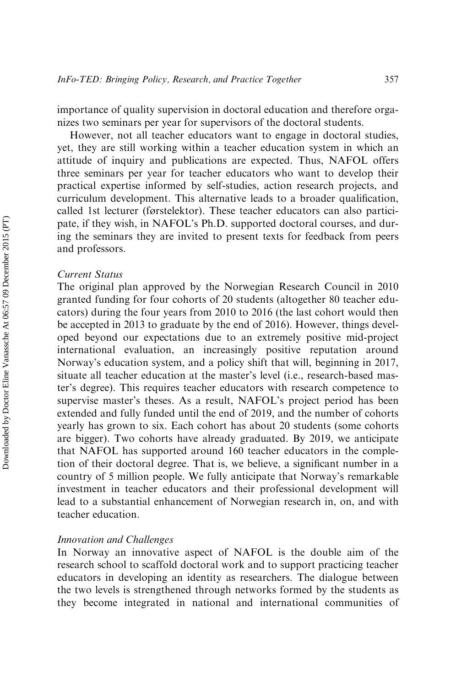importance of quality supervision in doctoral education and therefore organizes two seminars per year for supervisors of the doctoral students.

However, not all teacher educators want to engage in doctoral studies, yet, they are still working within a teacher education system in which an attitude of inquiry and publications are expected. Thus, NAFOL offers three seminars per year for teacher educators who want to develop their practical expertise informed by self-studies, action research projects, and curriculum development. This alternative leads to a broader qualification, called 1st lecturer (førstelektor). These teacher educators can also participate, if they wish, in NAFOL's Ph.D. supported doctoral courses, and during the seminars they are invited to present texts for feedback from peers and professors.

#### Current Status

The original plan approved by the Norwegian Research Council in 2010 granted funding for four cohorts of 20 students (altogether 80 teacher educators) during the four years from 2010 to 2016 (the last cohort would then be accepted in 2013 to graduate by the end of 2016). However, things developed beyond our expectations due to an extremely positive mid-project international evaluation, an increasingly positive reputation around Norway's education system, and a policy shift that will, beginning in 2017, situate all teacher education at the master's level (i.e., research-based master's degree). This requires teacher educators with research competence to supervise master's theses. As a result, NAFOL's project period has been extended and fully funded until the end of 2019, and the number of cohorts yearly has grown to six. Each cohort has about 20 students (some cohorts are bigger). Two cohorts have already graduated. By 2019, we anticipate that NAFOL has supported around 160 teacher educators in the completion of their doctoral degree. That is, we believe, a significant number in a country of 5 million people. We fully anticipate that Norway's remarkable investment in teacher educators and their professional development will lead to a substantial enhancement of Norwegian research in, on, and with teacher education.

#### Innovation and Challenges

In Norway an innovative aspect of NAFOL is the double aim of the research school to scaffold doctoral work and to support practicing teacher educators in developing an identity as researchers. The dialogue between the two levels is strengthened through networks formed by the students as they become integrated in national and international communities of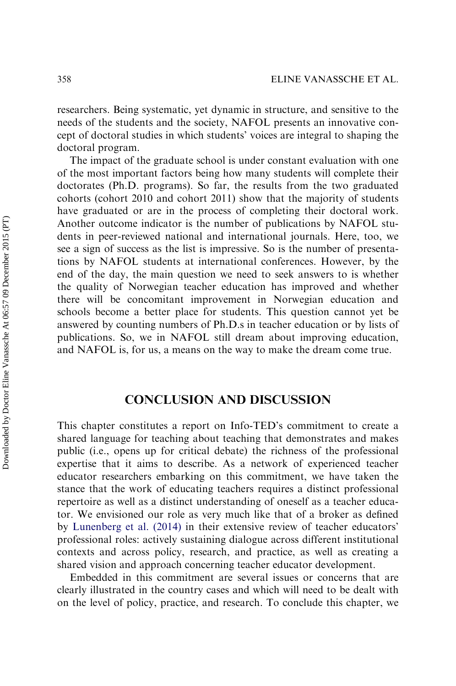researchers. Being systematic, yet dynamic in structure, and sensitive to the needs of the students and the society, NAFOL presents an innovative concept of doctoral studies in which students' voices are integral to shaping the doctoral program.

The impact of the graduate school is under constant evaluation with one of the most important factors being how many students will complete their doctorates (Ph.D. programs). So far, the results from the two graduated cohorts (cohort 2010 and cohort 2011) show that the majority of students have graduated or are in the process of completing their doctoral work. Another outcome indicator is the number of publications by NAFOL students in peer-reviewed national and international journals. Here, too, we see a sign of success as the list is impressive. So is the number of presentations by NAFOL students at international conferences. However, by the end of the day, the main question we need to seek answers to is whether the quality of Norwegian teacher education has improved and whether there will be concomitant improvement in Norwegian education and schools become a better place for students. This question cannot yet be answered by counting numbers of Ph.D.s in teacher education or by lists of publications. So, we in NAFOL still dream about improving education, and NAFOL is, for us, a means on the way to make the dream come true.

## CONCLUSION AND DISCUSSION

This chapter constitutes a report on Info-TED's commitment to create a shared language for teaching about teaching that demonstrates and makes public (i.e., opens up for critical debate) the richness of the professional expertise that it aims to describe. As a network of experienced teacher educator researchers embarking on this commitment, we have taken the stance that the work of educating teachers requires a distinct professional repertoire as well as a distinct understanding of oneself as a teacher educator. We envisioned our role as very much like that of a broker as defined by [Lunenberg et al. \(2014\)](#page-22-0) in their extensive review of teacher educators' professional roles: actively sustaining dialogue across different institutional contexts and across policy, research, and practice, as well as creating a shared vision and approach concerning teacher educator development.

Embedded in this commitment are several issues or concerns that are clearly illustrated in the country cases and which will need to be dealt with on the level of policy, practice, and research. To conclude this chapter, we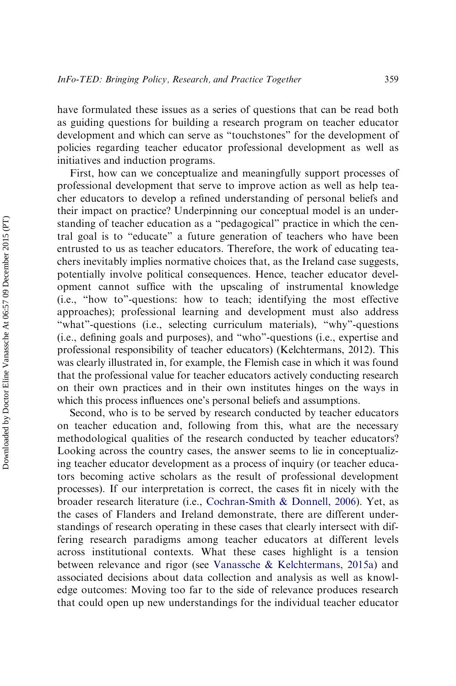have formulated these issues as a series of questions that can be read both as guiding questions for building a research program on teacher educator development and which can serve as "touchstones" for the development of policies regarding teacher educator professional development as well as initiatives and induction programs.

First, how can we conceptualize and meaningfully support processes of professional development that serve to improve action as well as help teacher educators to develop a refined understanding of personal beliefs and their impact on practice? Underpinning our conceptual model is an understanding of teacher education as a "pedagogical" practice in which the central goal is to "educate" a future generation of teachers who have been entrusted to us as teacher educators. Therefore, the work of educating teachers inevitably implies normative choices that, as the Ireland case suggests, potentially involve political consequences. Hence, teacher educator development cannot suffice with the upscaling of instrumental knowledge (i.e., "how to"-questions: how to teach; identifying the most effective approaches); professional learning and development must also address "what"-questions (i.e., selecting curriculum materials), "why"-questions (i.e., defining goals and purposes), and "who"-questions (i.e., expertise and professional responsibility of teacher educators) (Kelchtermans, 2012). This was clearly illustrated in, for example, the Flemish case in which it was found that the professional value for teacher educators actively conducting research on their own practices and in their own institutes hinges on the ways in which this process influences one's personal beliefs and assumptions.

Second, who is to be served by research conducted by teacher educators on teacher education and, following from this, what are the necessary methodological qualities of the research conducted by teacher educators? Looking across the country cases, the answer seems to lie in conceptualizing teacher educator development as a process of inquiry (or teacher educators becoming active scholars as the result of professional development processes). If our interpretation is correct, the cases fit in nicely with the broader research literature (i.e., [Cochran-Smith & Donnell, 2006](#page-21-0)). Yet, as the cases of Flanders and Ireland demonstrate, there are different understandings of research operating in these cases that clearly intersect with differing research paradigms among teacher educators at different levels across institutional contexts. What these cases highlight is a tension between relevance and rigor (see [Vanassche & Kelchtermans, 2015a](#page-24-0)) and associated decisions about data collection and analysis as well as knowledge outcomes: Moving too far to the side of relevance produces research that could open up new understandings for the individual teacher educator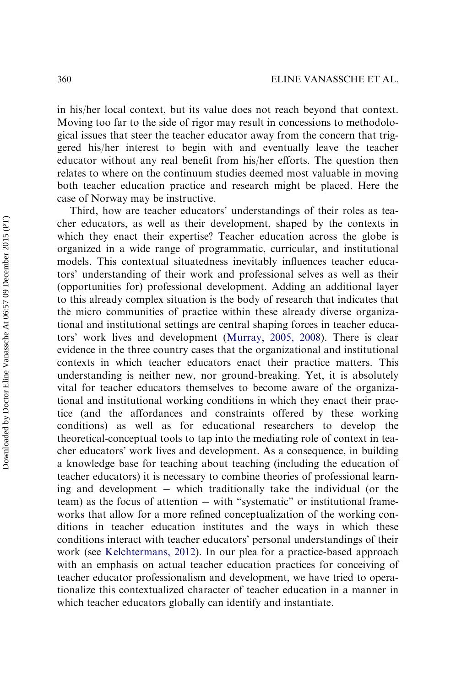in his/her local context, but its value does not reach beyond that context. Moving too far to the side of rigor may result in concessions to methodological issues that steer the teacher educator away from the concern that triggered his/her interest to begin with and eventually leave the teacher educator without any real benefit from his/her efforts. The question then relates to where on the continuum studies deemed most valuable in moving both teacher education practice and research might be placed. Here the case of Norway may be instructive.

Third, how are teacher educators' understandings of their roles as teacher educators, as well as their development, shaped by the contexts in which they enact their expertise? Teacher education across the globe is organized in a wide range of programmatic, curricular, and institutional models. This contextual situatedness inevitably influences teacher educators' understanding of their work and professional selves as well as their (opportunities for) professional development. Adding an additional layer to this already complex situation is the body of research that indicates that the micro communities of practice within these already diverse organizational and institutional settings are central shaping forces in teacher educators' work lives and development (Murray, 2005, 2008). There is clear evidence in the three country cases that the organizational and institutional contexts in which teacher educators enact their practice matters. This understanding is neither new, nor ground-breaking. Yet, it is absolutely vital for teacher educators themselves to become aware of the organizational and institutional working conditions in which they enact their practice (and the affordances and constraints offered by these working conditions) as well as for educational researchers to develop the theoretical-conceptual tools to tap into the mediating role of context in teacher educators' work lives and development. As a consequence, in building a knowledge base for teaching about teaching (including the education of teacher educators) it is necessary to combine theories of professional learning and development which traditionally take the individual (or the team) as the focus of attention  $-$  with "systematic" or institutional frameworks that allow for a more refined conceptualization of the working conditions in teacher education institutes and the ways in which these conditions interact with teacher educators' personal understandings of their work (see [Kelchtermans, 2012\)](#page-22-0). In our plea for a practice-based approach with an emphasis on actual teacher education practices for conceiving of teacher educator professionalism and development, we have tried to operationalize this contextualized character of teacher education in a manner in which teacher educators globally can identify and instantiate.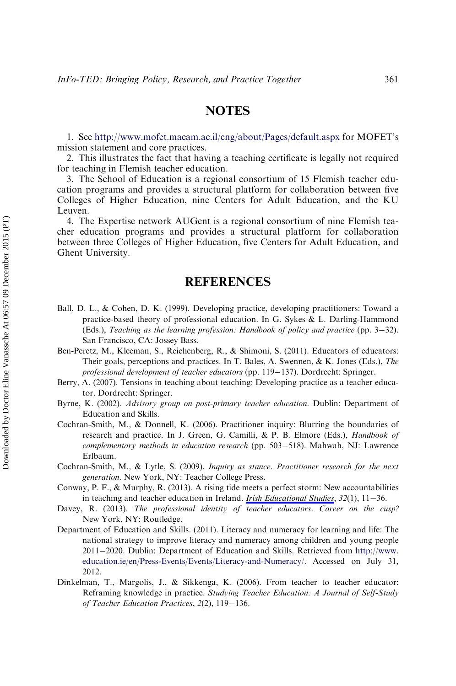#### **NOTES**

<span id="page-21-0"></span>1. See <http://www.mofet.macam.ac.il/eng/about/Pages/default.aspx> for MOFET's mission statement and core practices.

2. This illustrates the fact that having a teaching certificate is legally not required for teaching in Flemish teacher education.

3. The School of Education is a regional consortium of 15 Flemish teacher education programs and provides a structural platform for collaboration between five Colleges of Higher Education, nine Centers for Adult Education, and the KU Leuven.

4. The Expertise network AUGent is a regional consortium of nine Flemish teacher education programs and provides a structural platform for collaboration between three Colleges of Higher Education, five Centers for Adult Education, and Ghent University.

#### **REFERENCES**

- Ball, D. L., & Cohen, D. K. (1999). Developing practice, developing practitioners: Toward a practice-based theory of professional education. In G. Sykes & L. Darling-Hammond (Eds.), Teaching as the learning profession: Handbook of policy and practice (pp.  $3-32$ ). San Francisco, CA: Jossey Bass.
- Ben-Peretz, M., Kleeman, S., Reichenberg, R., & Shimoni, S. (2011). Educators of educators: Their goals, perceptions and practices. In T. Bales, A. Swennen, & K. Jones (Eds.), The professional development of teacher educators (pp. 119–137). Dordrecht: Springer.
- Berry, A. (2007). Tensions in teaching about teaching: Developing practice as a teacher educator. Dordrecht: Springer.
- Byrne, K. (2002). Advisory group on post-primary teacher education. Dublin: Department of Education and Skills.
- Cochran-Smith, M., & Donnell, K. (2006). Practitioner inquiry: Blurring the boundaries of research and practice. In J. Green, G. Camilli, & P. B. Elmore (Eds.), Handbook of  $complementary$  methods in education research (pp. 503-518). Mahwah, NJ: Lawrence Erlbaum.
- Cochran-Smith, M., & Lytle, S. (2009). Inquiry as stance. Practitioner research for the next generation. New York, NY: Teacher College Press.
- Conway, P. F., & Murphy, R. (2013). A rising tide meets a perfect storm: New accountabilities in teaching and teacher education in Ireland. *[Irish Educational Studies](http://www.emeraldinsight.com/action/showLinks?crossref=10.1080%2F03323315.2013.773227)*,  $32(1)$ ,  $11-36$ .
- Davey, R. (2013). The professional identity of teacher educators. Career on the cusp? New York, NY: Routledge.
- Department of Education and Skills. (2011). Literacy and numeracy for learning and life: The national strategy to improve literacy and numeracy among children and young people 20112020. Dublin: Department of Education and Skills. Retrieved from [http://www.](http://www.education.ie/en/Press-Events/Events/Literacy-and-Numeracy/) [education.ie/en/Press-Events/Events/Literacy-and-Numeracy/](http://www.education.ie/en/Press-Events/Events/Literacy-and-Numeracy/). Accessed on July 31, 2012.
- Dinkelman, T., Margolis, J., & Sikkenga, K. (2006). From teacher to teacher educator: Reframing knowledge in practice. Studying Teacher Education: A Journal of Self-Study of Teacher Education Practices, 2(2), 119-136.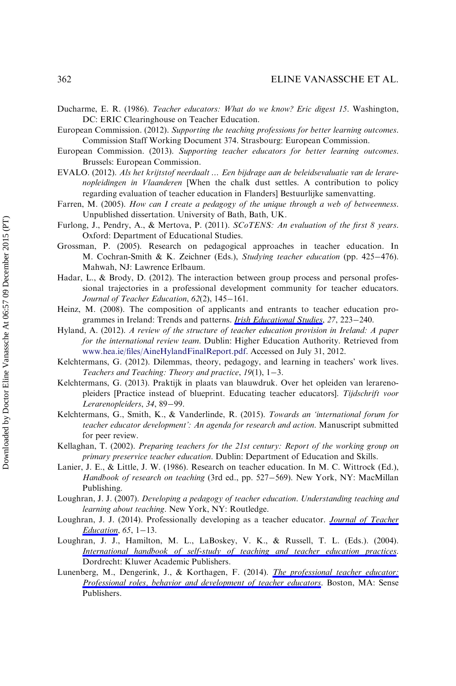- <span id="page-22-0"></span>Ducharme, E. R. (1986). Teacher educators: What do we know? Eric digest 15. Washington, DC: ERIC Clearinghouse on Teacher Education.
- European Commission. (2012). Supporting the teaching professions for better learning outcomes. Commission Staff Working Document 374. Strasbourg: European Commission.
- European Commission. (2013). Supporting teacher educators for better learning outcomes. Brussels: European Commission.
- EVALO. (2012). Als het krijtstof neerdaalt … Een bijdrage aan de beleidsevaluatie van de lerarenopleidingen in Vlaanderen [When the chalk dust settles. A contribution to policy regarding evaluation of teacher education in Flanders] Bestuurlijke samenvatting.
- Farren, M. (2005). How can I create a pedagogy of the unique through a web of betweenness. Unpublished dissertation. University of Bath, Bath, UK.
- Furlong, J., Pendry, A., & Mertova, P. (2011). SCoTENS: An evaluation of the first 8 years. Oxford: Department of Educational Studies.
- Grossman, P. (2005). Research on pedagogical approaches in teacher education. In M. Cochran-Smith & K. Zeichner (Eds.), Studying teacher education (pp. 425–476). Mahwah, NJ: Lawrence Erlbaum.
- Hadar, L., & Brody, D. (2012). The interaction between group process and personal professional trajectories in a professional development community for teacher educators. Journal of Teacher Education,  $62(2)$ ,  $145-161$ .
- Heinz, M. (2008). The composition of applicants and entrants to teacher education programmes in Ireland: Trends and patterns. *[Irish Educational Studies](http://www.emeraldinsight.com/action/showLinks?crossref=10.1080%2F03323310802242153)*, 27, 223-240.
- Hyland, A. (2012). A review of the structure of teacher education provision in Ireland: A paper for the international review team. Dublin: Higher Education Authority. Retrieved from [www.hea.ie/files/AineHylandFinalReport.pdf](http://www.hea.ie/files/AineHylandFinalReport.pdf). Accessed on July 31, 2012.
- Kelchtermans, G. (2012). Dilemmas, theory, pedagogy, and learning in teachers' work lives. Teachers and Teaching: Theory and practice,  $19(1)$ ,  $1-3$ .
- Kelchtermans, G. (2013). Praktijk in plaats van blauwdruk. Over het opleiden van lerarenopleiders [Practice instead of blueprint. Educating teacher educators]. Tijdschrift voor Lerarenopleiders, 34, 89-99.
- Kelchtermans, G., Smith, K., & Vanderlinde, R. (2015). Towards an 'international forum for teacher educator development': An agenda for research and action. Manuscript submitted for peer review.
- Kellaghan, T. (2002). Preparing teachers for the 21st century: Report of the working group on primary preservice teacher education. Dublin: Department of Education and Skills.
- Lanier, J. E., & Little, J. W. (1986). Research on teacher education. In M. C. Wittrock (Ed.), Handbook of research on teaching (3rd ed., pp. 527-569). New York, NY: MacMillan Publishing.
- Loughran, J. J. (2007). Developing a pedagogy of teacher education. Understanding teaching and learning about teaching. New York, NY: Routledge.
- Loughran, J. J. (2014). Professionally developing as a teacher educator. *[Journal of Teacher](http://www.emeraldinsight.com/action/showLinks?crossref=10.1177%2F0022487114533386)* [Education](http://www.emeraldinsight.com/action/showLinks?crossref=10.1177%2F0022487114533386),  $65$ ,  $1-13$ .
- Loughran, J. J., Hamilton, M. L., LaBoskey, V. K., & Russell, T. L. (Eds.). (2004). [International handbook of self-study of teaching and teacher education practices](http://www.emeraldinsight.com/action/showLinks?crossref=10.1007%2F978-1-4020-6545-3). Dordrecht: Kluwer Academic Publishers.
- Lunenberg, M., Dengerink, J., & Korthagen, F. (2014). *[The professional teacher educator:](http://www.emeraldinsight.com/action/showLinks?crossref=10.1007%2F978-94-6209-518-2)* [Professional roles, behavior and development of teacher educators](http://www.emeraldinsight.com/action/showLinks?crossref=10.1007%2F978-94-6209-518-2). Boston, MA: Sense Publishers.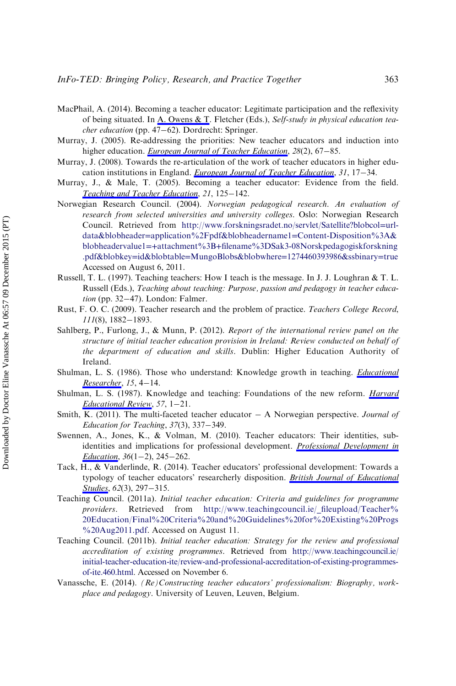- <span id="page-23-0"></span>MacPhail, A. (2014). Becoming a teacher educator: Legitimate participation and the reflexivity of being situated. In [A. Owens & T.](http://www.emeraldinsight.com/action/showLinks?crossref=10.1007%2F978-3-319-05663-0_4) Fletcher (Eds.), Self-study in physical education tea $cher education$  (pp. 47–62). Dordrecht: Springer.
- Murray, J. (2005). Re-addressing the priorities: New teacher educators and induction into higher education. [European Journal of Teacher Education](http://www.emeraldinsight.com/action/showLinks?crossref=10.1080%2F02619760500040108), 28(2), 67-85.
- Murray, J. (2008). Towards the re-articulation of the work of teacher educators in higher education institutions in England. *[European Journal of Teacher Education](http://www.emeraldinsight.com/action/showLinks?crossref=10.1080%2F02619760701845073)*,  $31$ ,  $17-34$ .
- Murray, J., & Male, T. (2005). Becoming a teacher educator: Evidence from the field. [Teaching and Teacher Education](http://www.emeraldinsight.com/action/showLinks?crossref=10.1016%2Fj.tate.2004.12.006), 21, 125-142.
- Norwegian Research Council. (2004). Norwegian pedagogical research. An evaluation of research from selected universities and university colleges. Oslo: Norwegian Research Council. Retrieved from [http://www.forskningsradet.no/servlet/Satellite?blobcol](http://www.forskningsradet.no/servlet/Satellite?blobcol=urldata&blobheader=application%2Fpdf&blobheadername1=Content-Disposition%3A&blobheadervalue1=+attachment%3B+filename%3DSak3-08Norskpedagogiskforskning.pdf&blobkey=id&blobtable=MungoBlobs&blobwhere=1274460393986&ssbinary=true)=urldata&blobheader=[application%2Fpdf&blobheadername1](http://www.forskningsradet.no/servlet/Satellite?blobcol=urldata&blobheader=application%2Fpdf&blobheadername1=Content-Disposition%3A&blobheadervalue1=+attachment%3B+filename%3DSak3-08Norskpedagogiskforskning.pdf&blobkey=id&blobtable=MungoBlobs&blobwhere=1274460393986&ssbinary=true)=Content-Disposition%3A& blobheadervalue1=+attachment%3B+[filename%3DSak3-08Norskpedagogiskforskning](http://www.forskningsradet.no/servlet/Satellite?blobcol=urldata&blobheader=application%2Fpdf&blobheadername1=Content-Disposition%3A&blobheadervalue1=+attachment%3B+filename%3DSak3-08Norskpedagogiskforskning.pdf&blobkey=id&blobtable=MungoBlobs&blobwhere=1274460393986&ssbinary=true) .pdf&blobkey=id&blobtable=MungoBlobs&blobwhere=[1274460393986&ssbinary](http://www.forskningsradet.no/servlet/Satellite?blobcol=urldata&blobheader=application%2Fpdf&blobheadername1=Content-Disposition%3A&blobheadervalue1=+attachment%3B+filename%3DSak3-08Norskpedagogiskforskning.pdf&blobkey=id&blobtable=MungoBlobs&blobwhere=1274460393986&ssbinary=true)=true Accessed on August 6, 2011.
- Russell, T. L. (1997). Teaching teachers: How I teach is the message. In J. J. Loughran & T. L. Russell (Eds.), Teaching about teaching: Purpose, passion and pedagogy in teacher educa $tion$  (pp. 32-47). London: Falmer.
- Rust, F. O. C. (2009). Teacher research and the problem of practice. Teachers College Record,  $111(8)$ , 1882-1893.
- Sahlberg, P., Furlong, J., & Munn, P. (2012). Report of the international review panel on the structure of initial teacher education provision in Ireland: Review conducted on behalf of the department of education and skills. Dublin: Higher Education Authority of Ireland.
- Shulman, L. S. (1986). Those who understand: Knowledge growth in teaching. *[Educational](http://www.emeraldinsight.com/action/showLinks?crossref=10.3102%2F0013189X015002004)* [Researcher](http://www.emeraldinsight.com/action/showLinks?crossref=10.3102%2F0013189X015002004),  $15, 4-14$ .
- Shulman, L. S. (1987). Knowledge and teaching: Foundations of the new reform. *[Harvard](http://www.emeraldinsight.com/action/showLinks?crossref=10.17763%2Fhaer.57.1.j463w79r56455411)* [Educational Review](http://www.emeraldinsight.com/action/showLinks?crossref=10.17763%2Fhaer.57.1.j463w79r56455411), 57, 1-21.
- Smith, K. (2011). The multi-faceted teacher educator  $A$  Norwegian perspective. *Journal of* Education for Teaching,  $37(3)$ ,  $337-349$ .
- Swennen, A., Jones, K., & Volman, M. (2010). Teacher educators: Their identities, subidentities and implications for professional development. *[Professional Development in](http://www.emeraldinsight.com/action/showLinks?crossref=10.1080%2F19415250903457166)* [Education](http://www.emeraldinsight.com/action/showLinks?crossref=10.1080%2F19415250903457166),  $36(1-2)$ ,  $245-262$ .
- Tack, H., & Vanderlinde, R. (2014). Teacher educators' professional development: Towards a typology of teacher educators' researcherly disposition. [British Journal of Educational](http://www.emeraldinsight.com/action/showLinks?crossref=10.1080%2F00071005.2014.957639) [Studies](http://www.emeraldinsight.com/action/showLinks?crossref=10.1080%2F00071005.2014.957639), 62(3), 297-315.
- Teaching Council. (2011a). Initial teacher education: Criteria and guidelines for programme providers. Retrieved from [http://www.teachingcouncil.ie/\\_fileupload/Teacher%](http://www.teachingcouncil.ie/_fileupload/Teacher%20Education/Final%20Criteria%20and%20Guidelines%20for%20Existing%20Progs%20Aug2011.pdf) [20Education/Final%20Criteria%20and%20Guidelines%20for%20Existing%20Progs](http://www.teachingcouncil.ie/_fileupload/Teacher%20Education/Final%20Criteria%20and%20Guidelines%20for%20Existing%20Progs%20Aug2011.pdf) [%20Aug2011.pdf](http://www.teachingcouncil.ie/_fileupload/Teacher%20Education/Final%20Criteria%20and%20Guidelines%20for%20Existing%20Progs%20Aug2011.pdf). Accessed on August 11.
- Teaching Council. (2011b). Initial teacher education: Strategy for the review and professional accreditation of existing programmes. Retrieved from [http://www.teachingcouncil.ie/](http://www.teachingcouncil.ie/initial-teacher-education-ite/review-and-professional-accreditation-of-existing-programmes-of-ite.460.html) [initial-teacher-education-ite/review-and-professional-accreditation-of-existing-programmes](http://www.teachingcouncil.ie/initial-teacher-education-ite/review-and-professional-accreditation-of-existing-programmes-of-ite.460.html)[of-ite.460.html.](http://www.teachingcouncil.ie/initial-teacher-education-ite/review-and-professional-accreditation-of-existing-programmes-of-ite.460.html) Accessed on November 6.
- Vanassche, E. (2014). (Re)Constructing teacher educators' professionalism: Biography, workplace and pedagogy. University of Leuven, Leuven, Belgium.